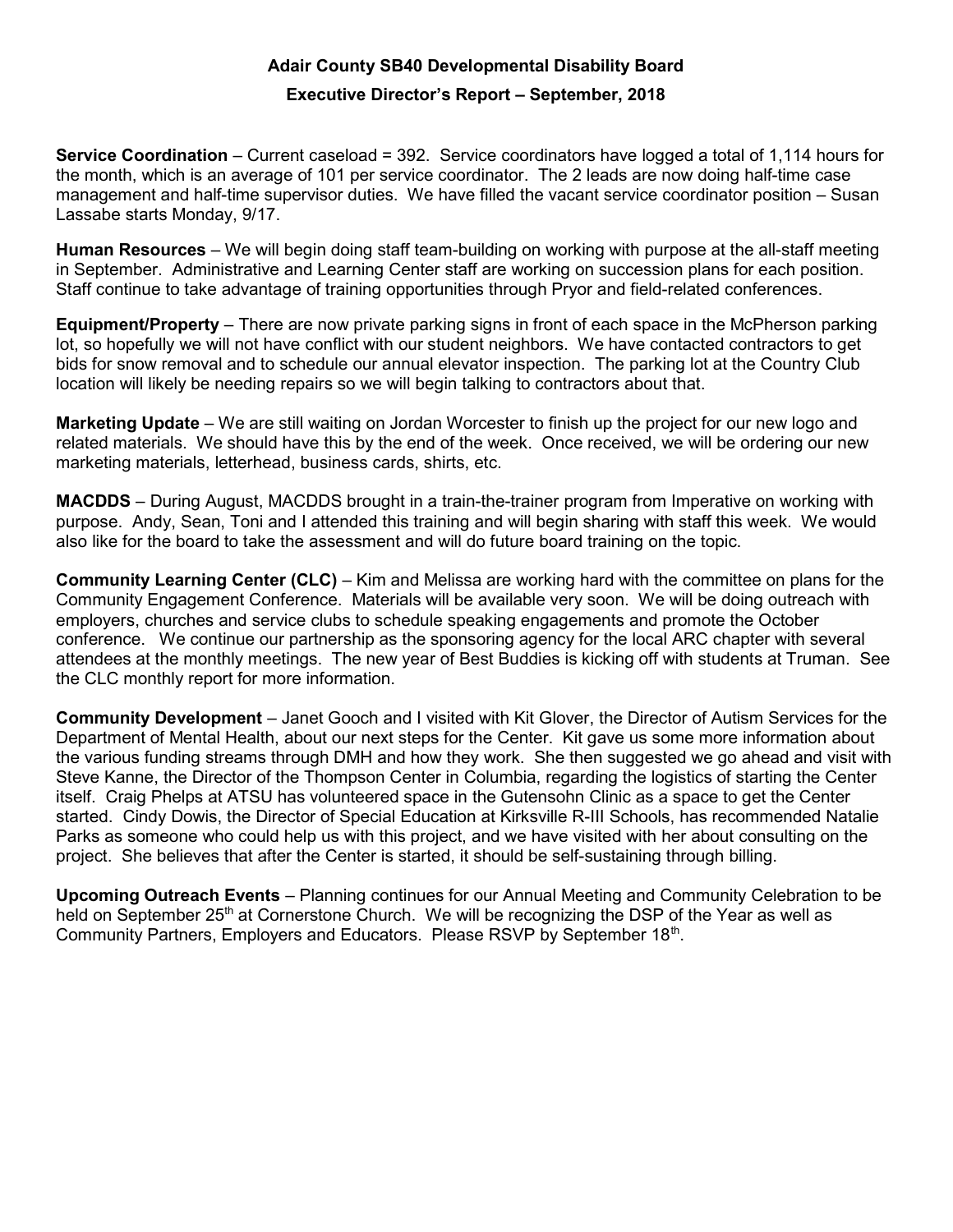## Adair County SB40 Developmental Disability Board

## Executive Director's Report – September, 2018

Service Coordination – Current caseload = 392. Service coordinators have logged a total of 1,114 hours for the month, which is an average of 101 per service coordinator. The 2 leads are now doing half-time case management and half-time supervisor duties. We have filled the vacant service coordinator position – Susan Lassabe starts Monday, 9/17.

Human Resources – We will begin doing staff team-building on working with purpose at the all-staff meeting in September. Administrative and Learning Center staff are working on succession plans for each position. Staff continue to take advantage of training opportunities through Pryor and field-related conferences.

Equipment/Property – There are now private parking signs in front of each space in the McPherson parking lot, so hopefully we will not have conflict with our student neighbors. We have contacted contractors to get bids for snow removal and to schedule our annual elevator inspection. The parking lot at the Country Club location will likely be needing repairs so we will begin talking to contractors about that.

Marketing Update – We are still waiting on Jordan Worcester to finish up the project for our new logo and related materials. We should have this by the end of the week. Once received, we will be ordering our new marketing materials, letterhead, business cards, shirts, etc.

MACDDS – During August, MACDDS brought in a train-the-trainer program from Imperative on working with purpose. Andy, Sean, Toni and I attended this training and will begin sharing with staff this week. We would also like for the board to take the assessment and will do future board training on the topic.

Community Learning Center (CLC) – Kim and Melissa are working hard with the committee on plans for the Community Engagement Conference. Materials will be available very soon. We will be doing outreach with employers, churches and service clubs to schedule speaking engagements and promote the October conference. We continue our partnership as the sponsoring agency for the local ARC chapter with several attendees at the monthly meetings. The new year of Best Buddies is kicking off with students at Truman. See the CLC monthly report for more information.

Community Development – Janet Gooch and I visited with Kit Glover, the Director of Autism Services for the Department of Mental Health, about our next steps for the Center. Kit gave us some more information about the various funding streams through DMH and how they work. She then suggested we go ahead and visit with Steve Kanne, the Director of the Thompson Center in Columbia, regarding the logistics of starting the Center itself. Craig Phelps at ATSU has volunteered space in the Gutensohn Clinic as a space to get the Center started. Cindy Dowis, the Director of Special Education at Kirksville R-III Schools, has recommended Natalie Parks as someone who could help us with this project, and we have visited with her about consulting on the project. She believes that after the Center is started, it should be self-sustaining through billing.

Upcoming Outreach Events – Planning continues for our Annual Meeting and Community Celebration to be held on September  $25<sup>th</sup>$  at Cornerstone Church. We will be recognizing the DSP of the Year as well as Community Partners, Employers and Educators. Please RSVP by September 18<sup>th</sup>.